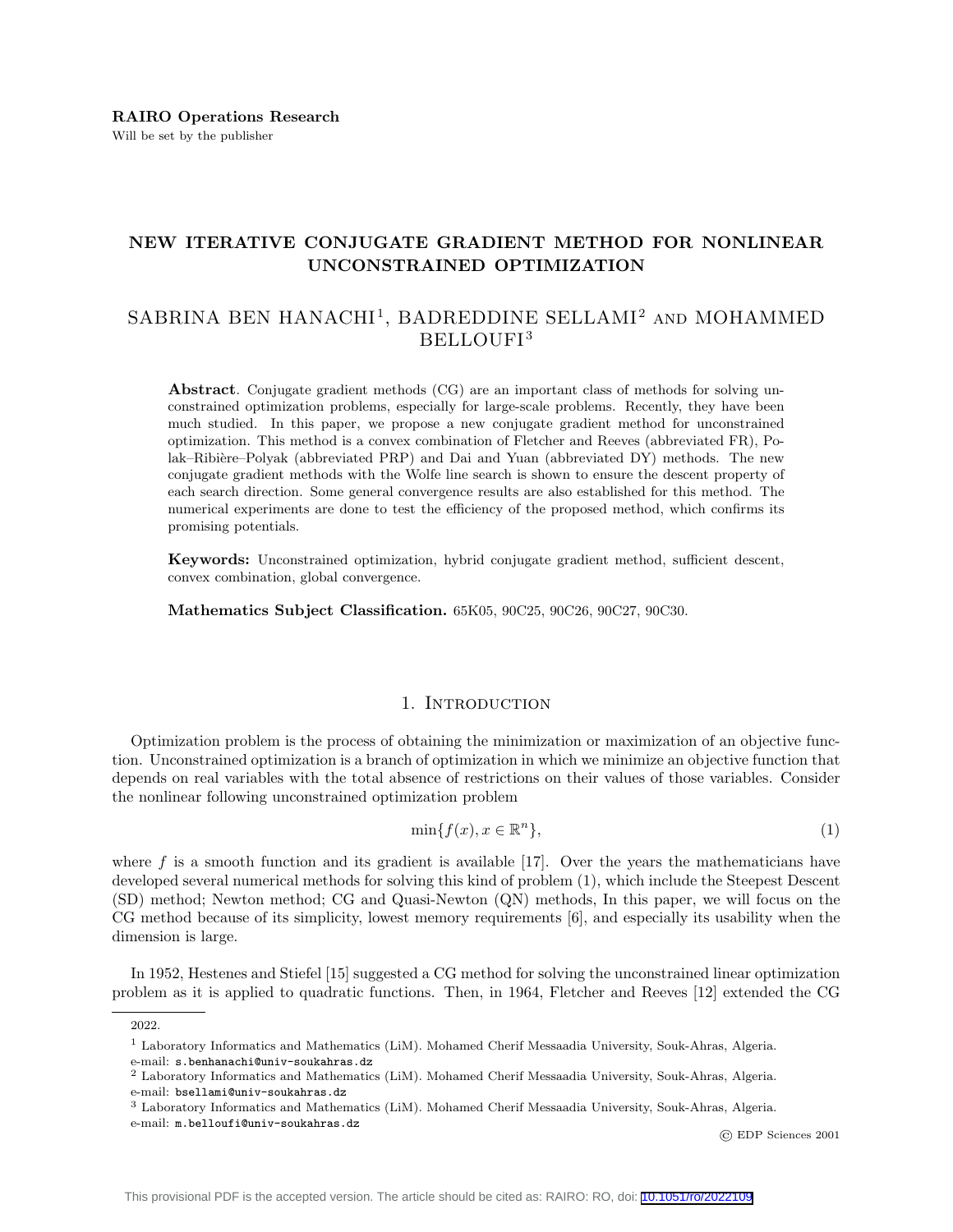# NEW ITERATIVE CONJUGATE GRADIENT METHOD FOR NONLINEAR UNCONSTRAINED OPTIMIZATION

# SABRINA BEN HANACHI<sup>1</sup>, BADREDDINE SELLAMI<sup>2</sup> AND MOHAMMED BELLOUFI<sup>3</sup>

Abstract. Conjugate gradient methods (CG) are an important class of methods for solving unconstrained optimization problems, especially for large-scale problems. Recently, they have been much studied. In this paper, we propose a new conjugate gradient method for unconstrained optimization. This method is a convex combination of Fletcher and Reeves (abbreviated FR), Polak–Ribière–Polyak (abbreviated PRP) and Dai and Yuan (abbreviated DY) methods. The new conjugate gradient methods with the Wolfe line search is shown to ensure the descent property of each search direction. Some general convergence results are also established for this method. The numerical experiments are done to test the efficiency of the proposed method, which confirms its promising potentials.

Keywords: Unconstrained optimization, hybrid conjugate gradient method, sufficient descent, convex combination, global convergence.

Mathematics Subject Classification. 65K05, 90C25, 90C26, 90C27, 90C30.

### 1. INTRODUCTION

Optimization problem is the process of obtaining the minimization or maximization of an objective function. Unconstrained optimization is a branch of optimization in which we minimize an objective function that depends on real variables with the total absence of restrictions on their values of those variables. Consider the nonlinear following unconstrained optimization problem

$$
\min\{f(x), x \in \mathbb{R}^n\},\tag{1}
$$

where f is a smooth function and its gradient is available [17]. Over the years the mathematicians have developed several numerical methods for solving this kind of problem (1), which include the Steepest Descent (SD) method; Newton method; CG and Quasi-Newton (QN) methods, In this paper, we will focus on the CG method because of its simplicity, lowest memory requirements [6], and especially its usability when the dimension is large.

In 1952, Hestenes and Stiefel [15] suggested a CG method for solving the unconstrained linear optimization problem as it is applied to quadratic functions. Then, in 1964, Fletcher and Reeves [12] extended the CG

© EDP Sciences 2001

<sup>2022.</sup>

<sup>1</sup> Laboratory Informatics and Mathematics (LiM). Mohamed Cherif Messaadia University, Souk-Ahras, Algeria.

e-mail: s.benhanachi@univ-soukahras.dz

<sup>2</sup> Laboratory Informatics and Mathematics (LiM). Mohamed Cherif Messaadia University, Souk-Ahras, Algeria. e-mail: bsellami@univ-soukahras.dz

<sup>3</sup> Laboratory Informatics and Mathematics (LiM). Mohamed Cherif Messaadia University, Souk-Ahras, Algeria.

e-mail: m.belloufi@univ-soukahras.dz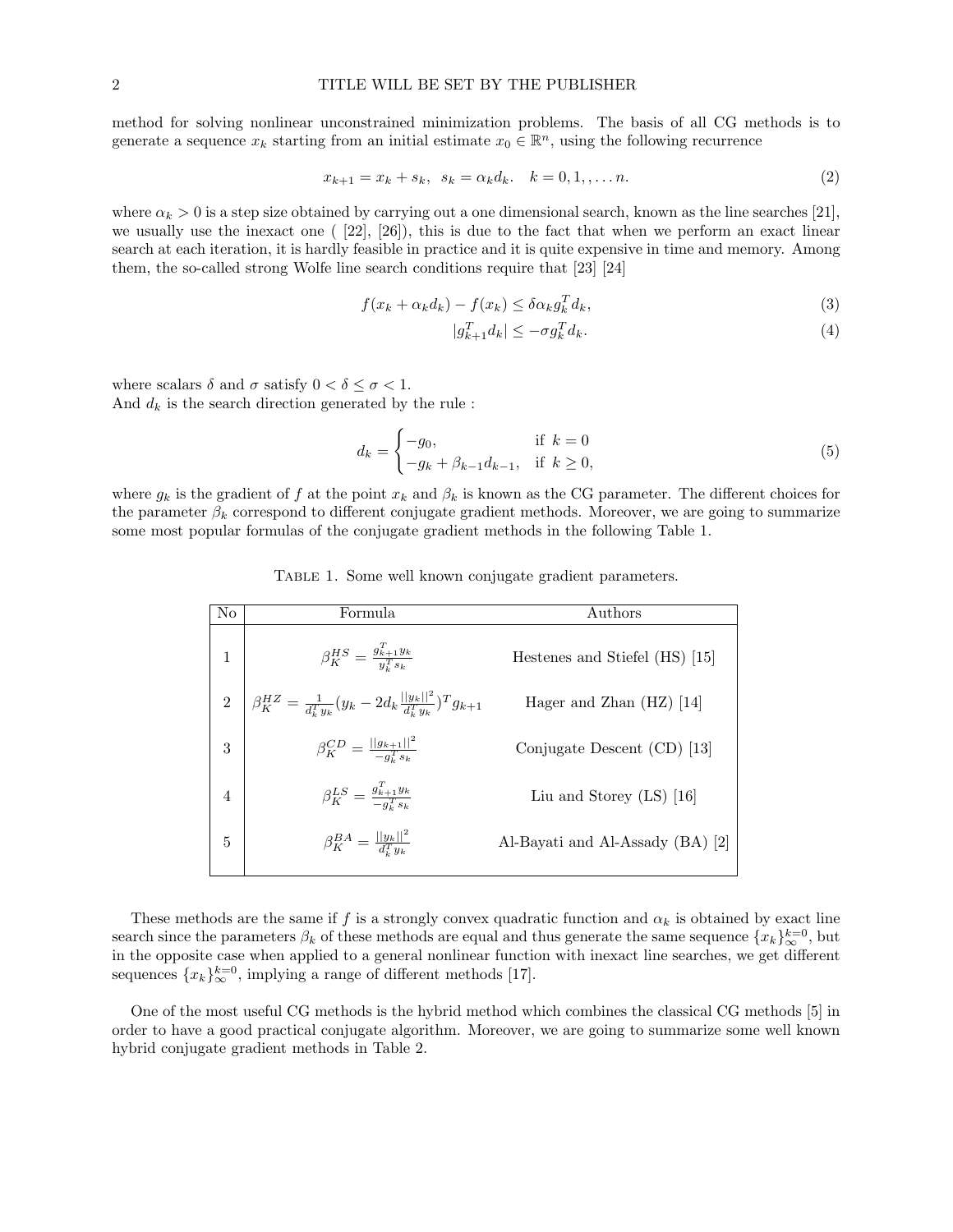method for solving nonlinear unconstrained minimization problems. The basis of all CG methods is to generate a sequence  $x_k$  starting from an initial estimate  $x_0 \in \mathbb{R}^n$ , using the following recurrence

$$
x_{k+1} = x_k + s_k, \ \ s_k = \alpha_k d_k. \quad k = 0, 1, \dots n. \tag{2}
$$

where  $\alpha_k > 0$  is a step size obtained by carrying out a one dimensional search, known as the line searches [21], we usually use the inexact one ( [22], [26]), this is due to the fact that when we perform an exact linear search at each iteration, it is hardly feasible in practice and it is quite expensive in time and memory. Among them, the so-called strong Wolfe line search conditions require that [23] [24]

$$
f(x_k + \alpha_k d_k) - f(x_k) \le \delta \alpha_k g_k^T d_k,
$$
\n(3)

$$
|g_{k+1}^T d_k| \le -\sigma g_k^T d_k. \tag{4}
$$

where scalars  $\delta$  and  $\sigma$  satisfy  $0 < \delta \leq \sigma < 1$ . And  $d_k$  is the search direction generated by the rule :

$$
d_k = \begin{cases} -g_0, & \text{if } k = 0\\ -g_k + \beta_{k-1} d_{k-1}, & \text{if } k \ge 0, \end{cases}
$$
 (5)

where  $g_k$  is the gradient of f at the point  $x_k$  and  $\beta_k$  is known as the CG parameter. The different choices for the parameter  $\beta_k$  correspond to different conjugate gradient methods. Moreover, we are going to summarize some most popular formulas of the conjugate gradient methods in the following Table 1.

| No             | Formula                                                                               | Authors                          |
|----------------|---------------------------------------------------------------------------------------|----------------------------------|
| 1              | $\beta_{K}^{HS} = \frac{g_{k+1}^{T}y_{k}}{y_{i}^{T}s_{k}}$                            | Hestenes and Stiefel (HS) [15]   |
| $\overline{2}$ | $\beta_K^{HZ} = \frac{1}{d_k^Ty_k} (y_k - 2d_k \frac{  y_k  ^2}{d_k^Ty_k})^T g_{k+1}$ | Hager and Zhan $(HZ)$ [14]       |
| 3              | $\beta_K^{CD} = \frac{  g_{k+1}  ^2}{-g_i^Ts_k}$                                      | Conjugate Descent $(CD)$ [13]    |
| $\overline{4}$ | $\beta_{K}^{LS} = \frac{g_{k+1}^{T}y_{k}}{-g_{-s_{k}}^{T}y_{k}}$                      | Liu and Storey $(LS)$ [16]       |
| 5              | $\beta_K^{BA} = \frac{  y_k  ^2}{d^T u_k}$                                            | Al-Bayati and Al-Assady (BA) [2] |
|                |                                                                                       |                                  |

Table 1. Some well known conjugate gradient parameters.

These methods are the same if f is a strongly convex quadratic function and  $\alpha_k$  is obtained by exact line search since the parameters  $\beta_k$  of these methods are equal and thus generate the same sequence  $\{x_k\}_{\infty}^{k=0}$ , but in the opposite case when applied to a general nonlinear function with inexact line searches, we get different sequences  ${x_k}_{\infty}^{k=0}$ , implying a range of different methods [17].

One of the most useful CG methods is the hybrid method which combines the classical CG methods [5] in order to have a good practical conjugate algorithm. Moreover, we are going to summarize some well known hybrid conjugate gradient methods in Table 2.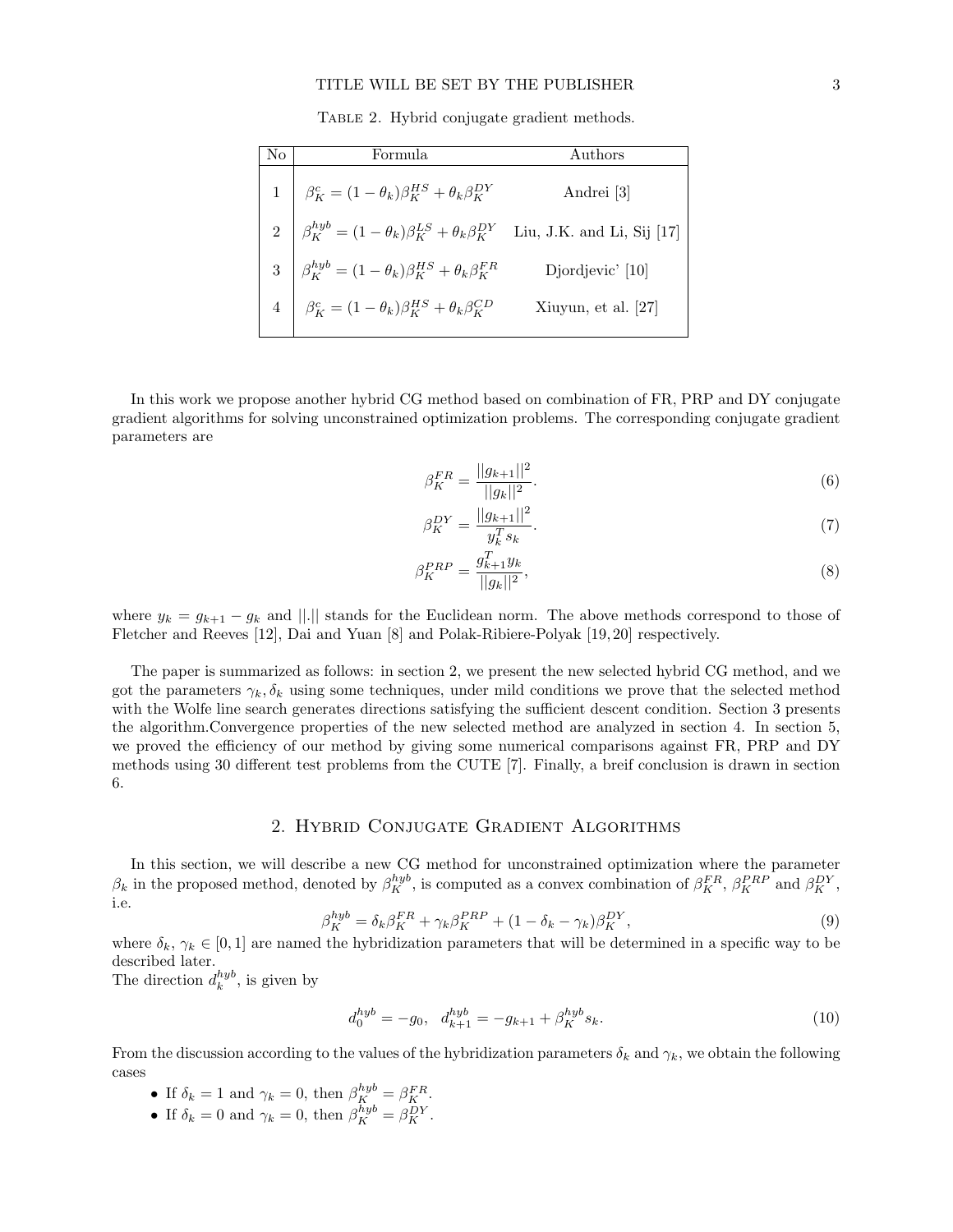#### TITLE WILL BE SET BY THE PUBLISHER 3

Table 2. Hybrid conjugate gradient methods.

| No | Formula                                                                                                                                                                                                                                                                                                                                                                                                                                                  | Authors |
|----|----------------------------------------------------------------------------------------------------------------------------------------------------------------------------------------------------------------------------------------------------------------------------------------------------------------------------------------------------------------------------------------------------------------------------------------------------------|---------|
|    | $\left\{ \begin{array}{ll} 1 & \beta_K^c = (1-\theta_k)\beta_K^{HS} + \theta_k\beta_K^{DY} & \text{Andrei [3]} \\ \\ 2 & \beta_K^{hyb} = (1-\theta_k)\beta_K^{LS} + \theta_k\beta_K^{DY} & \text{Liu, J.K. and Li, Sij [17]} \\ \\ 3 & \beta_K^{hyb} = (1-\theta_k)\beta_K^{HS} + \theta_k\beta_K^{FR} & \text{Djordjevic' [10]} \\ 4 & \beta_K^c = (1-\theta_k)\beta_K^{HS} + \theta_k\beta_K^{CD} & \text{Xiuyun, et al. [27]} \\ \end{array} \right.$ |         |
|    |                                                                                                                                                                                                                                                                                                                                                                                                                                                          |         |
|    |                                                                                                                                                                                                                                                                                                                                                                                                                                                          |         |
|    |                                                                                                                                                                                                                                                                                                                                                                                                                                                          |         |

In this work we propose another hybrid CG method based on combination of FR, PRP and DY conjugate gradient algorithms for solving unconstrained optimization problems. The corresponding conjugate gradient parameters are

$$
\beta_K^{FR} = \frac{||g_{k+1}||^2}{||g_k||^2}.\tag{6}
$$

$$
\beta_K^{DY} = \frac{||g_{k+1}||^2}{y_k^T s_k}.\tag{7}
$$

$$
\beta_K^{PRP} = \frac{g_{k+1}^T y_k}{||g_k||^2},\tag{8}
$$

where  $y_k = g_{k+1} - g_k$  and ||.|| stands for the Euclidean norm. The above methods correspond to those of Fletcher and Reeves [12], Dai and Yuan [8] and Polak-Ribiere-Polyak [19, 20] respectively.

The paper is summarized as follows: in section 2, we present the new selected hybrid CG method, and we got the parameters  $\gamma_k, \delta_k$  using some techniques, under mild conditions we prove that the selected method with the Wolfe line search generates directions satisfying the sufficient descent condition. Section 3 presents the algorithm.Convergence properties of the new selected method are analyzed in section 4. In section 5, we proved the efficiency of our method by giving some numerical comparisons against FR, PRP and DY methods using 30 different test problems from the CUTE [7]. Finally, a breif conclusion is drawn in section 6.

### 2. Hybrid Conjugate Gradient Algorithms

In this section, we will describe a new CG method for unconstrained optimization where the parameter  $\beta_k$  in the proposed method, denoted by  $\beta_K^{hyb}$ , is computed as a convex combination of  $\beta_K^{FR}$ ,  $\beta_K^{PRP}$  and  $\beta_K^{DY}$ , i.e.

$$
\beta_K^{hyb} = \delta_k \beta_K^{FR} + \gamma_k \beta_K^{PRP} + (1 - \delta_k - \gamma_k) \beta_K^{DY},\tag{9}
$$

where  $\delta_k, \gamma_k \in [0,1]$  are named the hybridization parameters that will be determined in a specific way to be described later.

The direction  $d_k^{hyb}$ , is given by

$$
d_0^{hyb} = -g_0, \quad d_{k+1}^{hyb} = -g_{k+1} + \beta_K^{hyb} s_k. \tag{10}
$$

From the discussion according to the values of the hybridization parameters  $\delta_k$  and  $\gamma_k$ , we obtain the following cases

- If  $\delta_k = 1$  and  $\gamma_k = 0$ , then  $\beta_K^{hyb} = \beta_K^{FR}$ .
- If  $\delta_k = 0$  and  $\gamma_k = 0$ , then  $\beta_K^{hyb} = \beta_K^{DY}$ .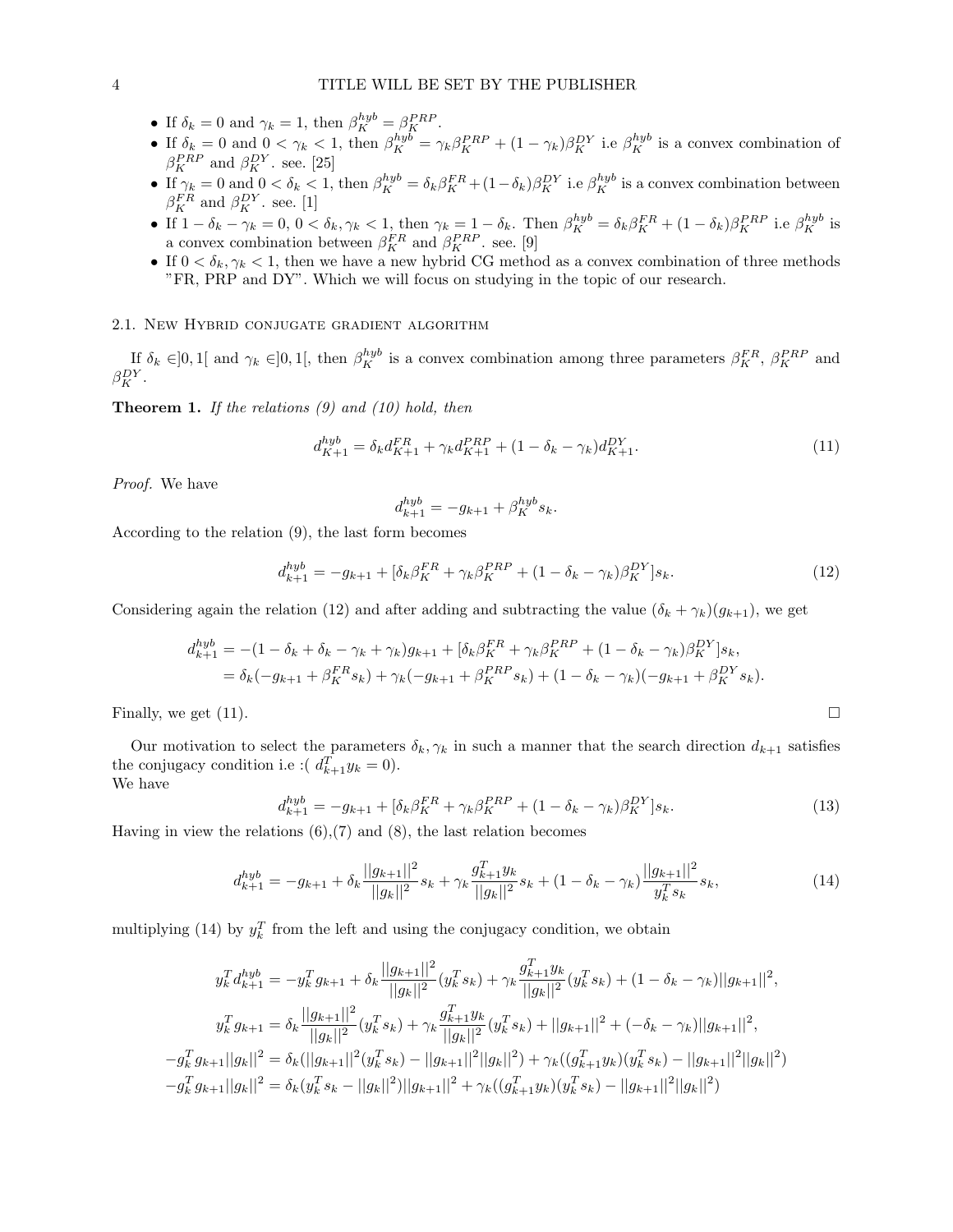- If  $\delta_k = 0$  and  $\gamma_k = 1$ , then  $\beta_K^{hyp} = \beta_K^{PRP}$ .
- If  $\delta_k = 0$  and  $0 < \gamma_k < 1$ , then  $\beta_K^{hyb} = \gamma_k \beta_K^{PRP} + (1 \gamma_k) \beta_K^{DY}$  i.e  $\beta_K^{hyb}$  is a convex combination of  $\beta_K^{PRP}$  and  $\beta_K^{DY}$ . see. [25]
- If  $\gamma_k = 0$  and  $0 < \delta_k < 1$ , then  $\beta_K^{hyb} = \delta_k \beta_K^{FR} + (1 \delta_k) \beta_K^{DY}$  i.e  $\beta_K^{hyb}$  is a convex combination between  $\beta_K^{FR}$  and  $\beta_K^{DY}$ . see. [1]
- If  $1 \delta_k \gamma_k = 0$ ,  $0 < \delta_k$ ,  $\gamma_k < 1$ , then  $\gamma_k = 1 \delta_k$ . Then  $\beta_K^{hyb} = \delta_k \beta_K^{FR} + (1 \delta_k) \beta_K^{PRP}$  i.e  $\beta_K^{hyb}$  is a convex combination between  $\beta_K^{FR}$  and  $\beta_K^{PRP}$ . see. [9]
- If  $0 < \delta_k, \gamma_k < 1$ , then we have a new hybrid CG method as a convex combination of three methods "FR, PRP and DY". Which we will focus on studying in the topic of our research.

## 2.1. New Hybrid conjugate gradient algorithm

If  $\delta_k \in ]0,1[$  and  $\gamma_k \in ]0,1[$ , then  $\beta_K^{hyp}$  is a convex combination among three parameters  $\beta_K^{FR}$ ,  $\beta_K^{PRP}$  and  $\beta_K^{DY}$ .

**Theorem 1.** If the relations  $(9)$  and  $(10)$  hold, then

$$
d_{K+1}^{hyb} = \delta_k d_{K+1}^{FR} + \gamma_k d_{K+1}^{PRP} + (1 - \delta_k - \gamma_k) d_{K+1}^{DY}.
$$
\n(11)

Proof. We have

$$
d^{hyb}_{k+1}=-g_{k+1}+\beta^{hyb}_{K}s_{k}.
$$

According to the relation (9), the last form becomes

$$
d_{k+1}^{hyb} = -g_{k+1} + [\delta_k \beta_K^{FR} + \gamma_k \beta_K^{PRP} + (1 - \delta_k - \gamma_k) \beta_K^{DY}] s_k.
$$
 (12)

Considering again the relation (12) and after adding and subtracting the value  $(\delta_k + \gamma_k)(g_{k+1})$ , we get

$$
d_{k+1}^{hyb} = -(1 - \delta_k + \delta_k - \gamma_k + \gamma_k)g_{k+1} + [\delta_k \beta_K^{FR} + \gamma_k \beta_K^{PRP} + (1 - \delta_k - \gamma_k)\beta_K^{DY}]s_k,
$$
  
=  $\delta_k(-g_{k+1} + \beta_K^{FR}s_k) + \gamma_k(-g_{k+1} + \beta_K^{PRP}s_k) + (1 - \delta_k - \gamma_k)(-g_{k+1} + \beta_K^{DY}s_k).$ 

Finally, we get  $(11)$ .

Our motivation to select the parameters  $\delta_k, \gamma_k$  in such a manner that the search direction  $d_{k+1}$  satisfies the conjugacy condition i.e :  $(d_{k+1}^T y_k = 0)$ . We have

$$
d_{k+1}^{hyb} = -g_{k+1} + [\delta_k \beta_K^{FR} + \gamma_k \beta_K^{PRP} + (1 - \delta_k - \gamma_k) \beta_K^{DY}] s_k.
$$
 (13)

Having in view the relations  $(6)$ ,  $(7)$  and  $(8)$ , the last relation becomes

$$
d_{k+1}^{hyb} = -g_{k+1} + \delta_k \frac{||g_{k+1}||^2}{||g_k||^2} s_k + \gamma_k \frac{g_{k+1}^T y_k}{||g_k||^2} s_k + (1 - \delta_k - \gamma_k) \frac{||g_{k+1}||^2}{y_k^T s_k} s_k,
$$
\n(14)

multiplying (14) by  $y_k^T$  from the left and using the conjugacy condition, we obtain

$$
y_k^T d_{k+1}^{hyb} = -y_k^T g_{k+1} + \delta_k \frac{||g_{k+1}||^2}{||g_k||^2} (y_k^T s_k) + \gamma_k \frac{g_{k+1}^T y_k}{||g_k||^2} (y_k^T s_k) + (1 - \delta_k - \gamma_k) ||g_{k+1}||^2,
$$
  

$$
y_k^T g_{k+1} = \delta_k \frac{||g_{k+1}||^2}{||g_k||^2} (y_k^T s_k) + \gamma_k \frac{g_{k+1}^T y_k}{||g_k||^2} (y_k^T s_k) + ||g_{k+1}||^2 + (-\delta_k - \gamma_k) ||g_{k+1}||^2,
$$
  

$$
-g_k^T g_{k+1} ||g_k||^2 = \delta_k (||g_{k+1}||^2 (y_k^T s_k) - ||g_{k+1}||^2 ||g_k||^2) + \gamma_k ((g_{k+1}^T y_k)(y_k^T s_k) - ||g_{k+1}||^2 ||g_k||^2)
$$
  

$$
-g_k^T g_{k+1} ||g_k||^2 = \delta_k (y_k^T s_k - ||g_k||^2) ||g_{k+1}||^2 + \gamma_k ((g_{k+1}^T y_k)(y_k^T s_k) - ||g_{k+1}||^2 ||g_k||^2)
$$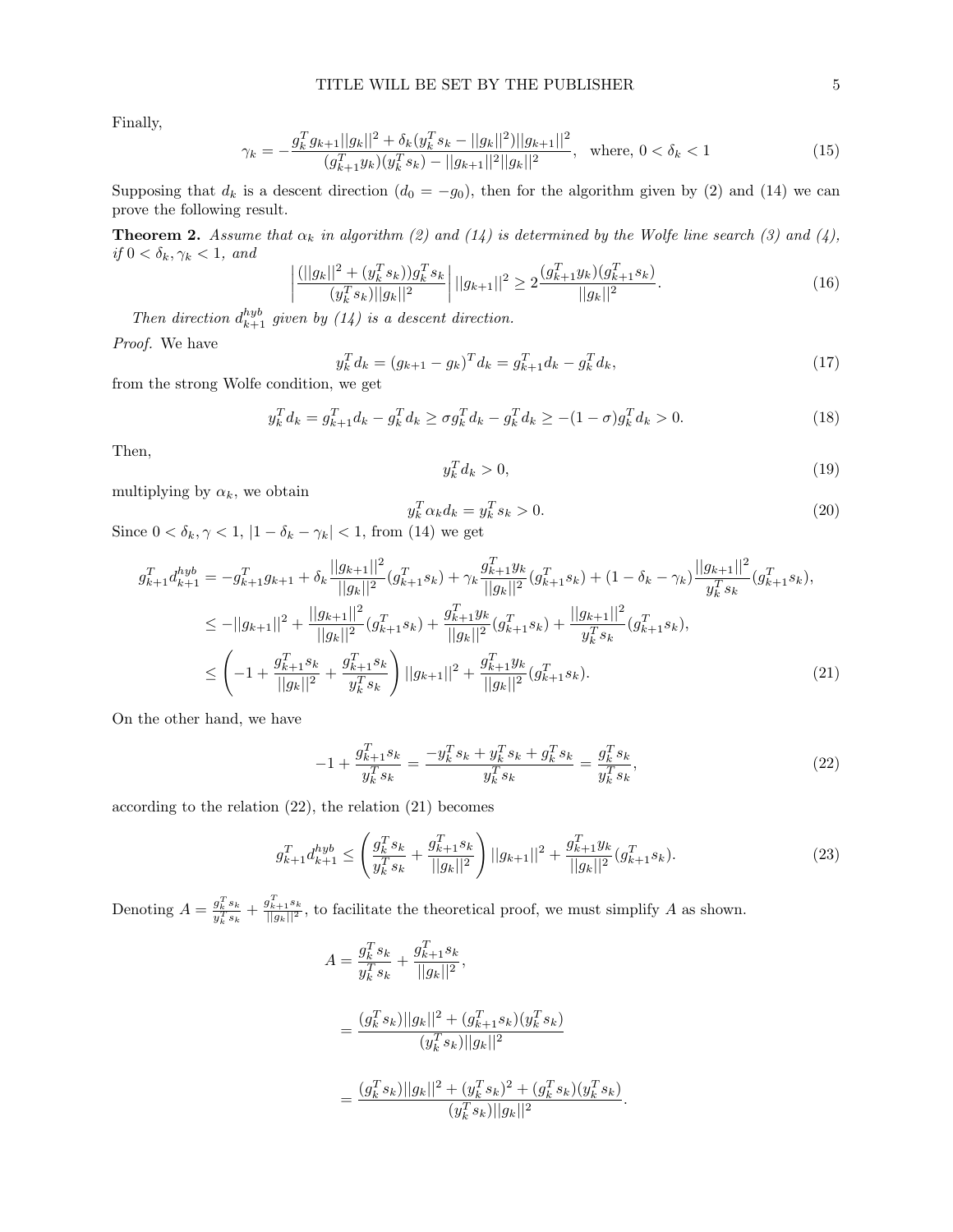Finally,

$$
\gamma_k = -\frac{g_k^T g_{k+1}||g_k||^2 + \delta_k (y_k^T s_k - ||g_k||^2)||g_{k+1}||^2}{(g_{k+1}^T y_k)(y_k^T s_k) - ||g_{k+1}||^2||g_k||^2}, \text{ where, } 0 < \delta_k < 1
$$
\n
$$
(15)
$$

Supposing that  $d_k$  is a descent direction  $(d_0 = -g_0)$ , then for the algorithm given by (2) and (14) we can prove the following result.

**Theorem 2.** Assume that  $\alpha_k$  in algorithm (2) and (14) is determined by the Wolfe line search (3) and (4), if  $0 < \delta_k, \gamma_k < 1$ , and

$$
\left| \frac{(||g_k||^2 + (y_k^T s_k))g_k^T s_k}{(y_k^T s_k)||g_k||^2} \right| ||g_{k+1}||^2 \ge 2 \frac{(g_{k+1}^T y_k)(g_{k+1}^T s_k)}{||g_k||^2}.
$$
\n(16)

Then direction  $d_{k+1}^{hyp}$  given by (14) is a descent direction.

Proof. We have

$$
y_k^T d_k = (g_{k+1} - g_k)^T d_k = g_{k+1}^T d_k - g_k^T d_k,
$$
\n(17)

from the strong Wolfe condition, we get

$$
y_k^T d_k = g_{k+1}^T d_k - g_k^T d_k \ge \sigma g_k^T d_k - g_k^T d_k \ge -(1 - \sigma) g_k^T d_k > 0.
$$
\n(18)

Then,

$$
y_k^T d_k > 0,\t\t(19)
$$

multiplying by  $\alpha_k$ , we obtain

$$
y_k^T \alpha_k d_k = y_k^T s_k > 0. \tag{20}
$$

Since  $0 < \delta_k, \gamma < 1, |1 - \delta_k - \gamma_k| < 1$ , from (14) we get

$$
g_{k+1}^T d_{k+1}^{hyb} = -g_{k+1}^T g_{k+1} + \delta_k \frac{||g_{k+1}||^2}{||g_k||^2} (g_{k+1}^T s_k) + \gamma_k \frac{g_{k+1}^T y_k}{||g_k||^2} (g_{k+1}^T s_k) + (1 - \delta_k - \gamma_k) \frac{||g_{k+1}||^2}{y_k^T s_k} (g_{k+1}^T s_k),
$$
  
\n
$$
\le -||g_{k+1}||^2 + \frac{||g_{k+1}||^2}{||g_k||^2} (g_{k+1}^T s_k) + \frac{g_{k+1}^T y_k}{||g_k||^2} (g_{k+1}^T s_k) + \frac{||g_{k+1}||^2}{y_k^T s_k} (g_{k+1}^T s_k),
$$
  
\n
$$
\le \left( -1 + \frac{g_{k+1}^T s_k}{||g_k||^2} + \frac{g_{k+1}^T s_k}{y_k^T s_k} \right) ||g_{k+1}||^2 + \frac{g_{k+1}^T y_k}{||g_k||^2} (g_{k+1}^T s_k).
$$
\n(21)

On the other hand, we have

$$
-1 + \frac{g_{k+1}^T s_k}{y_k^T s_k} = \frac{-y_k^T s_k + y_k^T s_k + g_k^T s_k}{y_k^T s_k} = \frac{g_k^T s_k}{y_k^T s_k},
$$
(22)

according to the relation (22), the relation (21) becomes

$$
g_{k+1}^T d_{k+1}^{hyb} \le \left(\frac{g_k^T s_k}{y_k^T s_k} + \frac{g_{k+1}^T s_k}{||g_k||^2}\right) ||g_{k+1}||^2 + \frac{g_{k+1}^T y_k}{||g_k||^2} (g_{k+1}^T s_k).
$$
\n(23)

Denoting  $A = \frac{g_k^T s_k}{g_k^T s_k}$  $\frac{g_k^T s_k}{g_k^T s_k} + \frac{g_{k+1}^T s_k}{||g_k||^2}$ , to facilitate the theoretical proof, we must simplify A as shown.

$$
A = \frac{g_k^T s_k}{y_k^T s_k} + \frac{g_{k+1}^T s_k}{||g_k||^2},
$$
  
= 
$$
\frac{(g_k^T s_k)||g_k||^2 + (g_{k+1}^T s_k)(g_k^T s_k)}{(g_k^T s_k)||g_k||^2}
$$
  
= 
$$
\frac{(g_k^T s_k)||g_k||^2 + (g_k^T s_k)^2 + (g_k^T s_k)(g_k^T s_k)}{(g_k^T s_k)||g_k||^2}.
$$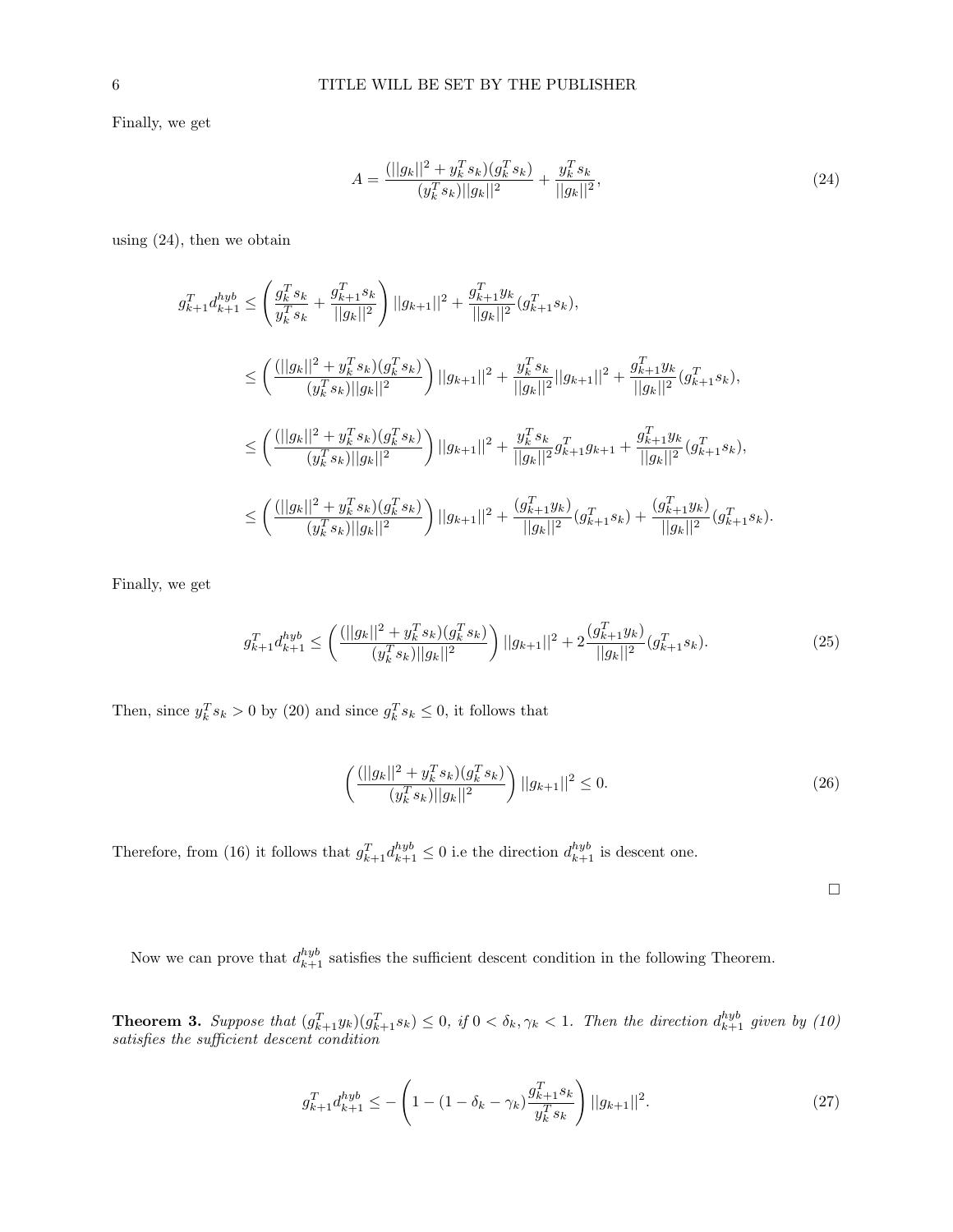Finally, we get

$$
A = \frac{(||g_k||^2 + y_k^T s_k)(g_k^T s_k)}{(y_k^T s_k)||g_k||^2} + \frac{y_k^T s_k}{||g_k||^2},
$$
\n(24)

using (24), then we obtain

$$
g_{k+1}^T d_{k+1}^{hyb} \leq \left(\frac{g_k^T s_k}{y_k^T s_k} + \frac{g_{k+1}^T s_k}{||g_k||^2}\right) ||g_{k+1}||^2 + \frac{g_{k+1}^T y_k}{||g_k||^2} (g_{k+1}^T s_k),
$$
  
\n
$$
\leq \left(\frac{(||g_k||^2 + y_k^T s_k)(g_k^T s_k)}{(y_k^T s_k)||g_k||^2}\right) ||g_{k+1}||^2 + \frac{y_k^T s_k}{||g_k||^2} ||g_{k+1}||^2 + \frac{g_{k+1}^T y_k}{||g_k||^2} (g_{k+1}^T s_k),
$$
  
\n
$$
\leq \left(\frac{(||g_k||^2 + y_k^T s_k)(g_k^T s_k)}{(y_k^T s_k)||g_k||^2}\right) ||g_{k+1}||^2 + \frac{y_k^T s_k}{||g_k||^2} g_{k+1}^T g_{k+1} + \frac{g_{k+1}^T y_k}{||g_k||^2} (g_{k+1}^T s_k),
$$
  
\n
$$
\leq \left(\frac{(||g_k||^2 + y_k^T s_k)(g_k^T s_k)}{(y_k^T s_k)||g_k||^2}\right) ||g_{k+1}||^2 + \frac{(g_{k+1}^T y_k)}{||g_k||^2} (g_{k+1}^T s_k) + \frac{(g_{k+1}^T y_k)}{||g_k||^2} (g_{k+1}^T s_k).
$$

Finally, we get

$$
g_{k+1}^T d_{k+1}^{hyb} \le \left( \frac{(||g_k||^2 + y_k^T s_k)(g_k^T s_k)}{(y_k^T s_k)||g_k||^2} \right) ||g_{k+1}||^2 + 2 \frac{(g_{k+1}^T y_k)}{||g_k||^2} (g_{k+1}^T s_k). \tag{25}
$$

Then, since  $y_k^T s_k > 0$  by (20) and since  $g_k^T s_k \leq 0$ , it follows that

$$
\left(\frac{(||g_k||^2 + y_k^T s_k)(g_k^T s_k)}{(y_k^T s_k)||g_k||^2}\right) ||g_{k+1}||^2 \le 0.
$$
\n(26)

Therefore, from (16) it follows that  $g_{k+1}^T d_{k+1}^{hyb} \leq 0$  i.e the direction  $d_{k+1}^{hyb}$  is descent one.

 $\Box$ 

Now we can prove that  $d_{k+1}^{hyp}$  satisfies the sufficient descent condition in the following Theorem.

**Theorem 3.** Suppose that  $(g_{k+1}^T y_k)(g_{k+1}^T s_k) \leq 0$ , if  $0 < \delta_k, \gamma_k < 1$ . Then the direction  $d_{k+1}^{hyb}$  given by (10) satisfies the sufficient descent condition

$$
g_{k+1}^T d_{k+1}^{hyb} \le -\left(1 - (1 - \delta_k - \gamma_k) \frac{g_{k+1}^T s_k}{y_k^T s_k}\right) ||g_{k+1}||^2. \tag{27}
$$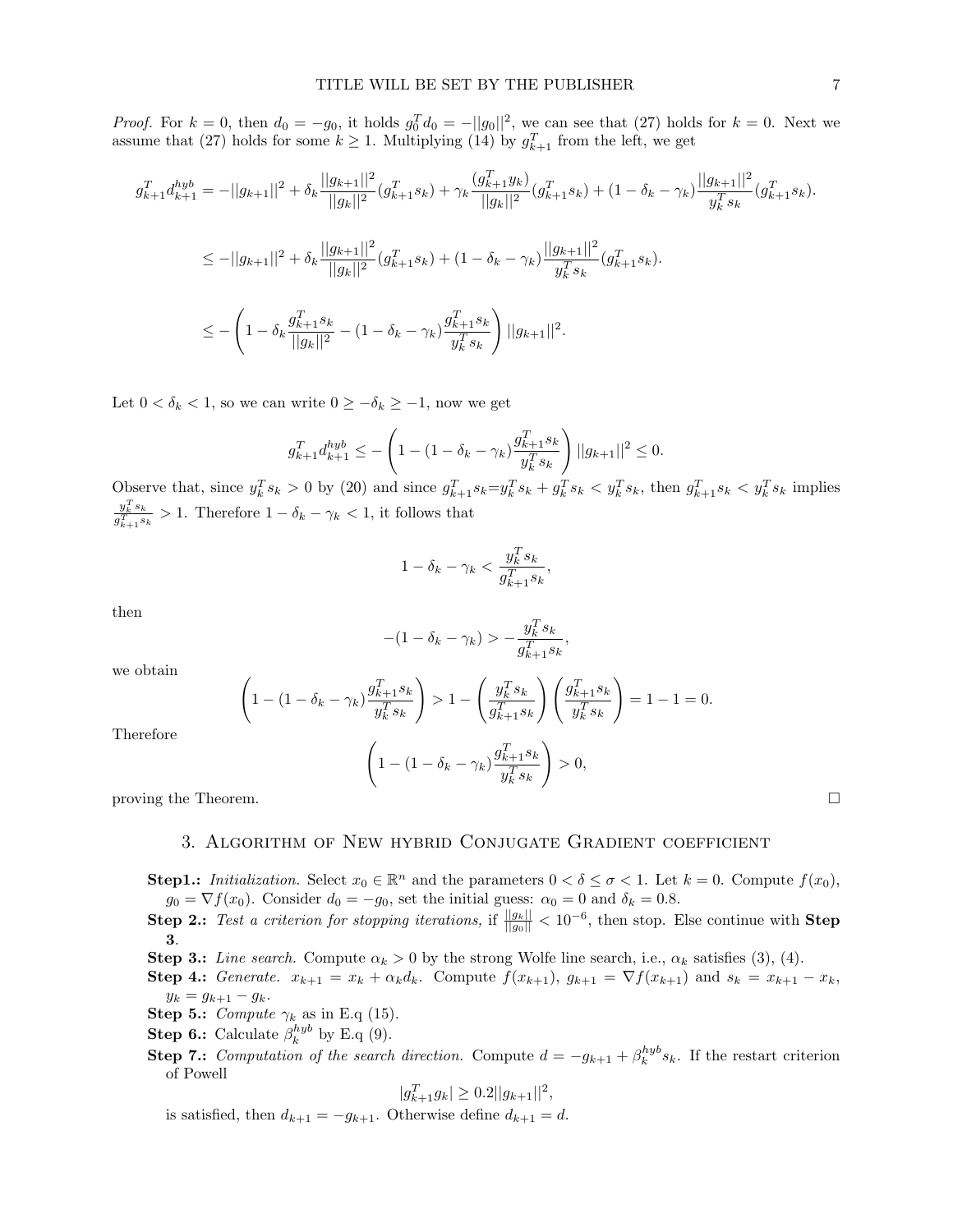*Proof.* For  $k = 0$ , then  $d_0 = -g_0$ , it holds  $g_0^T d_0 = -||g_0||^2$ , we can see that (27) holds for  $k = 0$ . Next we assume that (27) holds for some  $k \geq 1$ . Multiplying (14) by  $g_{k+1}^T$  from the left, we get

$$
g_{k+1}^T d_{k+1}^{hyb} = -||g_{k+1}||^2 + \delta_k \frac{||g_{k+1}||^2}{||g_k||^2} (g_{k+1}^T s_k) + \gamma_k \frac{(g_{k+1}^T y_k)}{||g_k||^2} (g_{k+1}^T s_k) + (1 - \delta_k - \gamma_k) \frac{||g_{k+1}||^2}{y_k^T s_k} (g_{k+1}^T s_k).
$$
  
\n
$$
\le -||g_{k+1}||^2 + \delta_k \frac{||g_{k+1}||^2}{||g_k||^2} (g_{k+1}^T s_k) + (1 - \delta_k - \gamma_k) \frac{||g_{k+1}||^2}{y_k^T s_k} (g_{k+1}^T s_k).
$$
  
\n
$$
\le -\left(1 - \delta_k \frac{g_{k+1}^T s_k}{||g_k||^2} - (1 - \delta_k - \gamma_k) \frac{g_{k+1}^T s_k}{y_k^T s_k}\right) ||g_{k+1}||^2.
$$

Let  $0 < \delta_k < 1$ , so we can write  $0 \geq -\delta_k \geq -1$ , now we get

$$
g_{k+1}^T d_{k+1}^{hyb} \le -\left(1 - (1 - \delta_k - \gamma_k) \frac{g_{k+1}^T s_k}{y_k^T s_k}\right) ||g_{k+1}||^2 \le 0.
$$

Observe that, since  $y_k^T s_k > 0$  by (20) and since  $g_{k+1}^T s_k = y_k^T s_k + g_k^T s_k < y_k^T s_k$ , then  $g_{k+1}^T s_k < y_k^T s_k$  implies  $y_k^Ts_k$  $\frac{y_k s_k}{g_{k+1}^T s_k} > 1$ . Therefore  $1 - \delta_k - \gamma_k < 1$ , it follows that

$$
1 - \delta_k - \gamma_k < \frac{y_k^T s_k}{g_{k+1}^T s_k},
$$

then

$$
-(1 - \delta_k - \gamma_k) > -\frac{y_k^T s_k}{g_{k+1}^T s_k},
$$

we obtain

$$
\left(1 - (1 - \delta_k - \gamma_k) \frac{g_{k+1}^T s_k}{y_k^T s_k}\right) > 1 - \left(\frac{y_k^T s_k}{g_{k+1}^T s_k}\right) \left(\frac{g_{k+1}^T s_k}{y_k^T s_k}\right) = 1 - 1 = 0.
$$

Therefore

$$
\left(1 - (1 - \delta_k - \gamma_k)\frac{g_{k+1}^T s_k}{y_k^T s_k}\right) > 0,
$$

proving the Theorem.  $\Box$ 

### 3. Algorithm of New hybrid Conjugate Gradient coefficient

- **Step1.:** Initialization. Select  $x_0 \in \mathbb{R}^n$  and the parameters  $0 < \delta \leq \sigma < 1$ . Let  $k = 0$ . Compute  $f(x_0)$ ,  $g_0 = \nabla f(x_0)$ . Consider  $d_0 = -g_0$ , set the initial guess:  $\alpha_0 = 0$  and  $\delta_k = 0.8$ .
- **Step 2.:** Test a criterion for stopping iterations, if  $\frac{||g_k||}{||g_0||} < 10^{-6}$ , then stop. Else continue with **Step** 3.
- Step 3.: Line search. Compute  $\alpha_k > 0$  by the strong Wolfe line search, i.e.,  $\alpha_k$  satisfies (3), (4).
- **Step 4.:** Generate.  $x_{k+1} = x_k + \alpha_k d_k$ . Compute  $f(x_{k+1}), g_{k+1} = \nabla f(x_{k+1})$  and  $s_k = x_{k+1} x_k$ ,  $y_k = g_{k+1} - g_k.$
- Step 5.: Compute  $\gamma_k$  as in E.q (15).
- **Step 6.:** Calculate  $\beta_k^{hyb}$  by E.q (9).
- **Step 7.:** Computation of the search direction. Compute  $d = -g_{k+1} + \beta_k^{hyb} s_k$ . If the restart criterion of Powell

$$
|g_{k+1}^T g_k| \ge 0.2||g_{k+1}||^2,
$$

is satisfied, then  $d_{k+1} = -g_{k+1}$ . Otherwise define  $d_{k+1} = d$ .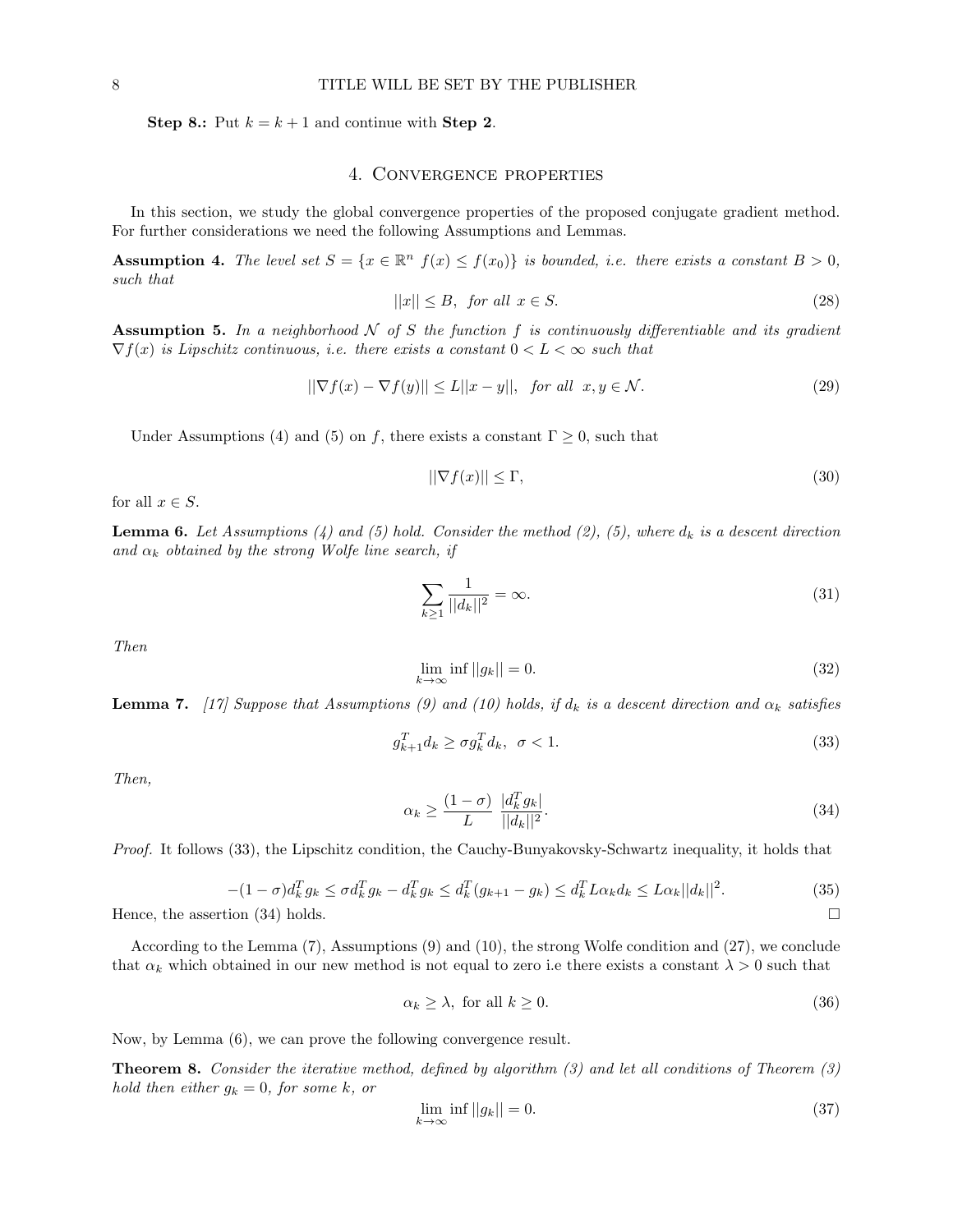Step 8.: Put  $k = k + 1$  and continue with Step 2.

# 4. Convergence properties

In this section, we study the global convergence properties of the proposed conjugate gradient method. For further considerations we need the following Assumptions and Lemmas.

**Assumption 4.** The level set  $S = \{x \in \mathbb{R}^n | f(x) \leq f(x_0)\}$  is bounded, i.e. there exists a constant  $B > 0$ , such that

$$
||x|| \le B, \text{ for all } x \in S. \tag{28}
$$

**Assumption 5.** In a neighborhood  $N$  of S the function f is continuously differentiable and its gradient  $\nabla f(x)$  is Lipschitz continuous, i.e. there exists a constant  $0 < L < \infty$  such that

$$
||\nabla f(x) - \nabla f(y)|| \le L||x - y||, \quad \text{for all} \ \ x, y \in \mathcal{N}.
$$
 (29)

Under Assumptions (4) and (5) on f, there exists a constant  $\Gamma \geq 0$ , such that

$$
\|\nabla f(x)\| \le \Gamma,\tag{30}
$$

for all  $x \in S$ .

**Lemma 6.** Let Assumptions (4) and (5) hold. Consider the method (2), (5), where  $d_k$  is a descent direction and  $\alpha_k$  obtained by the strong Wolfe line search, if

$$
\sum_{k\geq 1} \frac{1}{||d_k||^2} = \infty.
$$
\n(31)

Then

$$
\lim_{k \to \infty} \inf ||g_k|| = 0. \tag{32}
$$

**Lemma 7.** [17] Suppose that Assumptions (9) and (10) holds, if  $d_k$  is a descent direction and  $\alpha_k$  satisfies

$$
g_{k+1}^T d_k \ge \sigma g_k^T d_k, \ \sigma < 1. \tag{33}
$$

Then,

$$
\alpha_k \ge \frac{(1-\sigma)}{L} \frac{|d_k^T g_k|}{||d_k||^2}.\tag{34}
$$

Proof. It follows (33), the Lipschitz condition, the Cauchy-Bunyakovsky-Schwartz inequality, it holds that

$$
-(1-\sigma)d_k^T g_k \le \sigma d_k^T g_k - d_k^T g_k \le d_k^T (g_{k+1} - g_k) \le d_k^T L \alpha_k d_k \le L \alpha_k ||d_k||^2. \tag{35}
$$

Hence, the assertion (34) holds.  $\square$ 

According to the Lemma (7), Assumptions (9) and (10), the strong Wolfe condition and (27), we conclude that  $\alpha_k$  which obtained in our new method is not equal to zero i.e there exists a constant  $\lambda > 0$  such that

$$
\alpha_k \ge \lambda, \text{ for all } k \ge 0. \tag{36}
$$

Now, by Lemma (6), we can prove the following convergence result.

**Theorem 8.** Consider the iterative method, defined by algorithm  $(3)$  and let all conditions of Theorem  $(3)$ hold then either  $g_k = 0$ , for some k, or

$$
\lim_{k \to \infty} \inf ||g_k|| = 0. \tag{37}
$$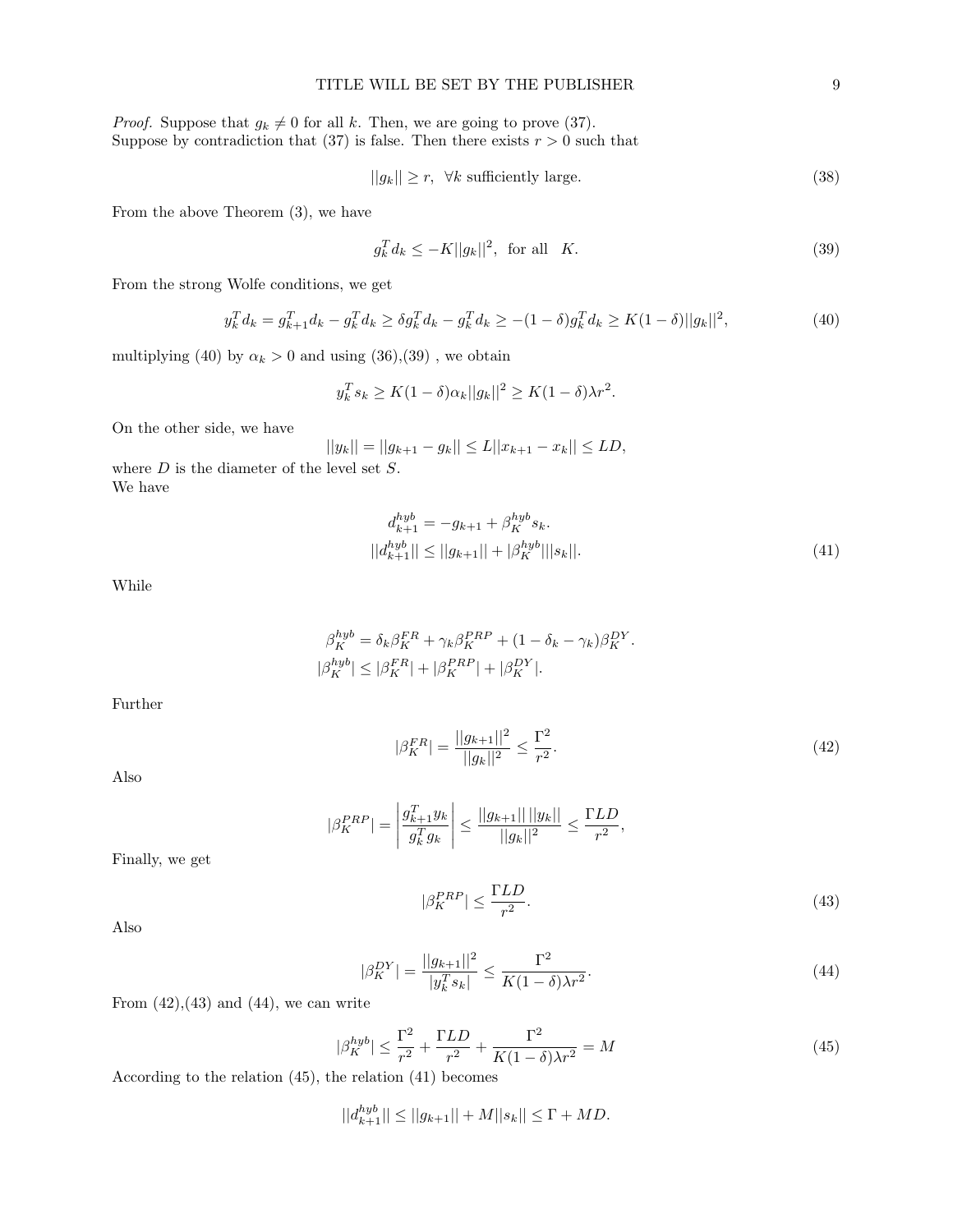*Proof.* Suppose that  $g_k \neq 0$  for all k. Then, we are going to prove (37). Suppose by contradiction that (37) is false. Then there exists  $r > 0$  such that

$$
||g_k|| \ge r, \ \forall k \text{ sufficiently large.} \tag{38}
$$

From the above Theorem (3), we have

$$
g_k^T d_k \le -K ||g_k||^2, \text{ for all } K. \tag{39}
$$

From the strong Wolfe conditions, we get

$$
y_k^T d_k = g_{k+1}^T d_k - g_k^T d_k \ge \delta g_k^T d_k - g_k^T d_k \ge -(1-\delta)g_k^T d_k \ge K(1-\delta) ||g_k||^2,
$$
\n(40)

multiplying (40) by  $\alpha_k > 0$  and using (36),(39), we obtain

 $\overline{\phantom{a}}$ 

$$
y_k^T s_k \ge K(1-\delta)\alpha_k ||g_k||^2 \ge K(1-\delta)\lambda r^2.
$$

On the other side, we have

$$
||y_k|| = ||g_{k+1} - g_k|| \le L||x_{k+1} - x_k|| \le LD,
$$

where  $D$  is the diameter of the level set  $S$ . We have

$$
d_{k+1}^{hyb} = -g_{k+1} + \beta_K^{hyb} s_k.
$$
  
\n
$$
||d_{k+1}^{hyb}|| \le ||g_{k+1}|| + |\beta_K^{hyb}|| |s_k||.
$$
\n(41)

While

$$
\beta_K^{hyb} = \delta_k \beta_K^{FR} + \gamma_k \beta_K^{PRP} + (1 - \delta_k - \gamma_k) \beta_K^{DY}.
$$
  

$$
\beta_K^{hyb} \le |\beta_K^{FR}| + |\beta_K^{PRP}| + |\beta_K^{DY}|.
$$

Further

$$
|\beta_K^{FR}| = \frac{||g_{k+1}||^2}{||g_k||^2} \le \frac{\Gamma^2}{r^2}.
$$
\n(42)

Also

$$
|\beta_K^{PRP}| = \left| \frac{g_{k+1}^T y_k}{g_k^T g_k} \right| \le \frac{||g_{k+1}|| \, ||y_k||}{||g_k||^2} \le \frac{\Gamma LD}{r^2},
$$

Finally, we get

$$
|\beta_K^{PRP}| \le \frac{\Gamma LD}{r^2}.\tag{43}
$$

Also

$$
|\beta_K^{DY}| = \frac{||g_{k+1}||^2}{|y_k^T s_k|} \le \frac{\Gamma^2}{K(1-\delta)\lambda r^2}.
$$
\n(44)

From  $(42),(43)$  and  $(44)$ , we can write

$$
|\beta_K^{hyb}| \le \frac{\Gamma^2}{r^2} + \frac{\Gamma LD}{r^2} + \frac{\Gamma^2}{K(1-\delta)\lambda r^2} = M \tag{45}
$$

According to the relation (45), the relation (41) becomes

 $||d_{k+1}^{hyb}|| \le ||g_{k+1}|| + M||s_k|| \le \Gamma + MD.$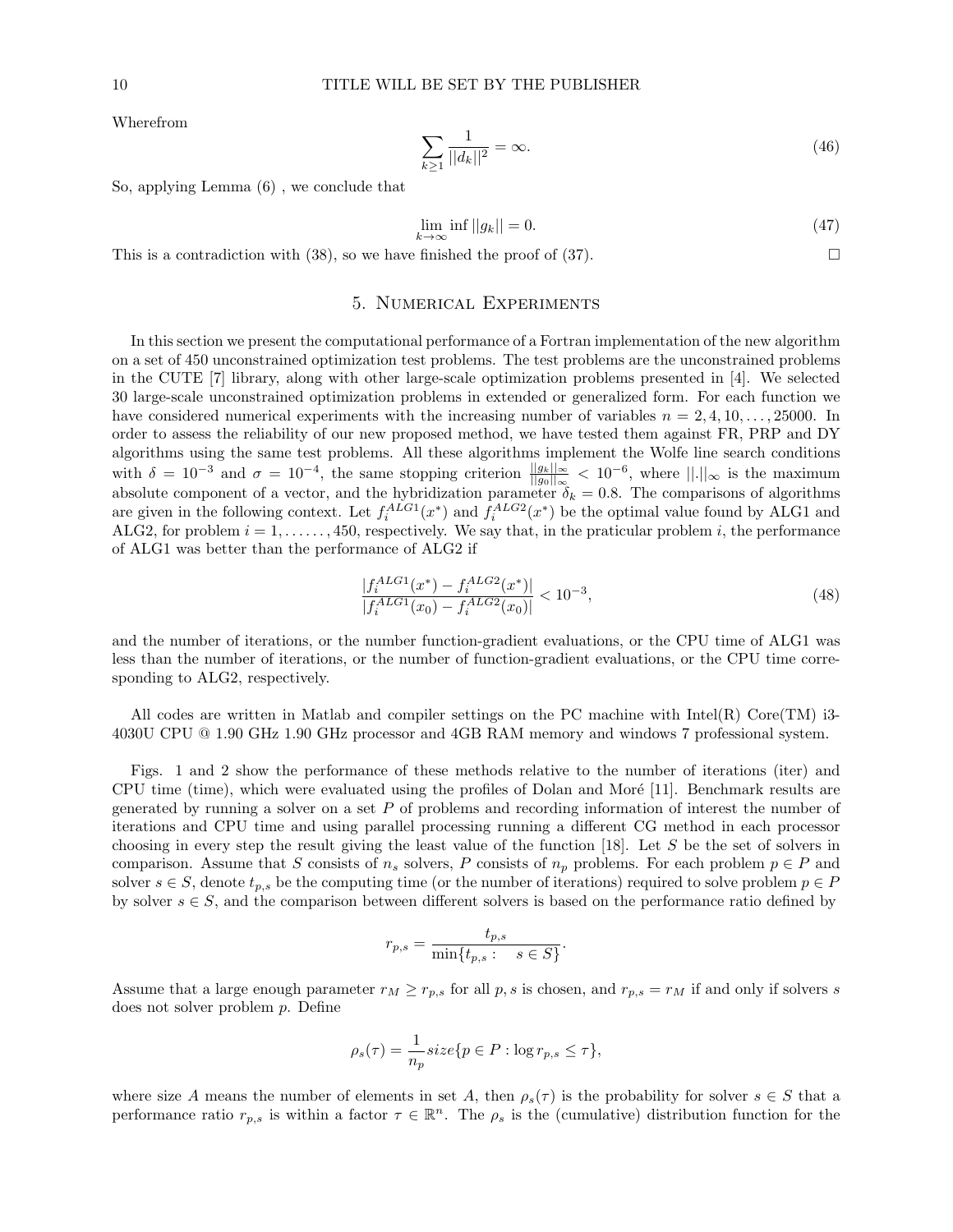Wherefrom

$$
\sum_{k\geq 1} \frac{1}{||d_k||^2} = \infty.
$$
\n(46)

So, applying Lemma (6) , we conclude that

$$
\lim_{k \to \infty} \inf ||g_k|| = 0. \tag{47}
$$

This is a contradiction with (38), so we have finished the proof of (37).

## 5. Numerical Experiments

In this section we present the computational performance of a Fortran implementation of the new algorithm on a set of 450 unconstrained optimization test problems. The test problems are the unconstrained problems in the CUTE [7] library, along with other large-scale optimization problems presented in [4]. We selected 30 large-scale unconstrained optimization problems in extended or generalized form. For each function we have considered numerical experiments with the increasing number of variables  $n = 2, 4, 10, \ldots, 25000$ . In order to assess the reliability of our new proposed method, we have tested them against FR, PRP and DY algorithms using the same test problems. All these algorithms implement the Wolfe line search conditions with  $\delta = 10^{-3}$  and  $\sigma = 10^{-4}$ , the same stopping criterion  $\frac{||g_k||_{\infty}}{||g_0||_{\infty}} < 10^{-6}$ , where  $||.||_{\infty}$  is the maximum absolute component of a vector, and the hybridization parameter  $\delta_k = 0.8$ . The comparisons of algorithms are given in the following context. Let  $f_i^{ALG1}(x^*)$  and  $f_i^{ALG2}(x^*)$  be the optimal value found by ALG1 and ALG2, for problem  $i = 1, \ldots, 450$ , respectively. We say that, in the praticular problem i, the performance of ALG1 was better than the performance of ALG2 if

$$
\frac{|f_i^{ALG1}(x^*) - f_i^{ALG2}(x^*)|}{|f_i^{ALG1}(x_0) - f_i^{ALG2}(x_0)|} < 10^{-3},\tag{48}
$$

and the number of iterations, or the number function-gradient evaluations, or the CPU time of ALG1 was less than the number of iterations, or the number of function-gradient evaluations, or the CPU time corresponding to ALG2, respectively.

All codes are written in Matlab and compiler settings on the PC machine with Intel(R) Core(TM) i3-4030U CPU @ 1.90 GHz 1.90 GHz processor and 4GB RAM memory and windows 7 professional system.

Figs. 1 and 2 show the performance of these methods relative to the number of iterations (iter) and CPU time (time), which were evaluated using the profiles of Dolan and Moré [11]. Benchmark results are generated by running a solver on a set  $P$  of problems and recording information of interest the number of iterations and CPU time and using parallel processing running a different CG method in each processor choosing in every step the result giving the least value of the function [18]. Let S be the set of solvers in comparison. Assume that S consists of  $n_s$  solvers, P consists of  $n_p$  problems. For each problem  $p \in P$  and solver  $s \in S$ , denote  $t_{p,s}$  be the computing time (or the number of iterations) required to solve problem  $p \in P$ by solver  $s \in S$ , and the comparison between different solvers is based on the performance ratio defined by

$$
r_{p,s} = \frac{t_{p,s}}{\min\{t_{p,s} : s \in S\}}.
$$

Assume that a large enough parameter  $r_M \geq r_{p,s}$  for all p, s is chosen, and  $r_{p,s} = r_M$  if and only if solvers s does not solver problem p. Define

$$
\rho_s(\tau) = \frac{1}{n_p} size\{p \in P : \log r_{p,s} \le \tau\},\
$$

where size A means the number of elements in set A, then  $\rho_s(\tau)$  is the probability for solver  $s \in S$  that a performance ratio  $r_{p,s}$  is within a factor  $\tau \in \mathbb{R}^n$ . The  $\rho_s$  is the (cumulative) distribution function for the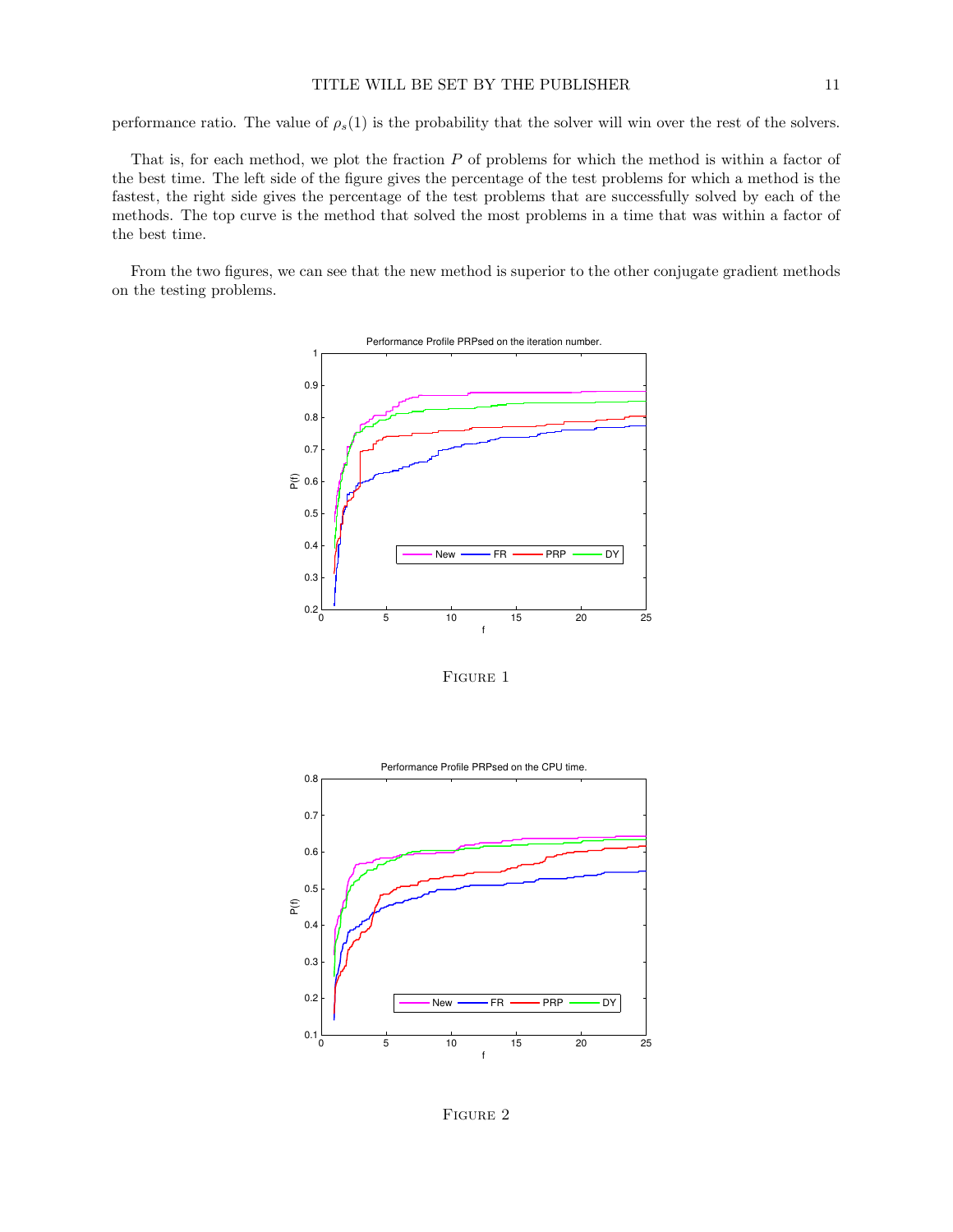performance ratio. The value of  $\rho_s(1)$  is the probability that the solver will win over the rest of the solvers.

That is, for each method, we plot the fraction  $P$  of problems for which the method is within a factor of the best time. The left side of the figure gives the percentage of the test problems for which a method is the fastest, the right side gives the percentage of the test problems that are successfully solved by each of the methods. The top curve is the method that solved the most problems in a time that was within a factor of the best time.

From the two figures, we can see that the new method is superior to the other conjugate gradient methods on the testing problems.



FIGURE 1



FIGURE 2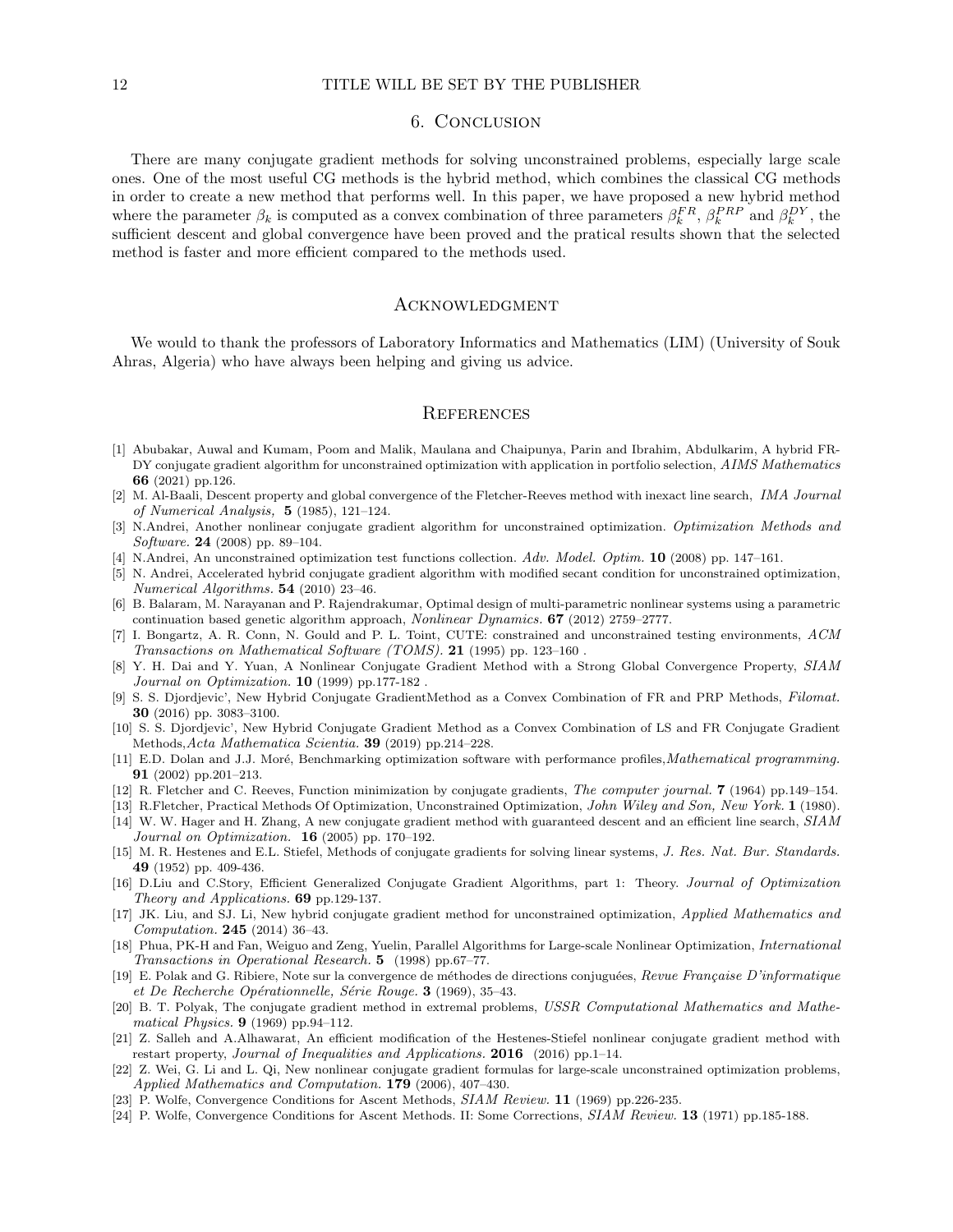#### 12 TITLE WILL BE SET BY THE PUBLISHER

### 6. Conclusion

There are many conjugate gradient methods for solving unconstrained problems, especially large scale ones. One of the most useful CG methods is the hybrid method, which combines the classical CG methods in order to create a new method that performs well. In this paper, we have proposed a new hybrid method where the parameter  $\beta_k$  is computed as a convex combination of three parameters  $\beta_k^{FR}$ ,  $\beta_k^{PRP}$  and  $\beta_k^{DY}$ , the sufficient descent and global convergence have been proved and the pratical results shown that the selected method is faster and more efficient compared to the methods used.

### **ACKNOWLEDGMENT**

We would to thank the professors of Laboratory Informatics and Mathematics (LIM) (University of Souk Ahras, Algeria) who have always been helping and giving us advice.

### **REFERENCES**

- [1] Abubakar, Auwal and Kumam, Poom and Malik, Maulana and Chaipunya, Parin and Ibrahim, Abdulkarim, A hybrid FR-DY conjugate gradient algorithm for unconstrained optimization with application in portfolio selection, AIMS Mathematics 66 (2021) pp.126.
- [2] M. Al-Baali, Descent property and global convergence of the Fletcher-Reeves method with inexact line search, IMA Journal of Numerical Analysis, 5 (1985), 121–124.
- [3] N.Andrei, Another nonlinear conjugate gradient algorithm for unconstrained optimization. Optimization Methods and Software. 24 (2008) pp. 89–104.
- [4] N.Andrei, An unconstrained optimization test functions collection. Adv. Model. Optim. 10 (2008) pp. 147–161.
- [5] N. Andrei, Accelerated hybrid conjugate gradient algorithm with modified secant condition for unconstrained optimization, Numerical Algorithms. 54 (2010) 23–46.
- [6] B. Balaram, M. Narayanan and P. Rajendrakumar, Optimal design of multi-parametric nonlinear systems using a parametric continuation based genetic algorithm approach, Nonlinear Dynamics. 67 (2012) 2759–2777.
- [7] I. Bongartz, A. R. Conn, N. Gould and P. L. Toint, CUTE: constrained and unconstrained testing environments, ACM Transactions on Mathematical Software (TOMS). 21 (1995) pp. 123–160 .
- [8] Y. H. Dai and Y. Yuan, A Nonlinear Conjugate Gradient Method with a Strong Global Convergence Property, SIAM Journal on Optimization. **10** (1999) pp.177-182.
- [9] S. S. Djordjevic', New Hybrid Conjugate GradientMethod as a Convex Combination of FR and PRP Methods, Filomat. 30 (2016) pp. 3083–3100.
- [10] S. S. Djordjevic', New Hybrid Conjugate Gradient Method as a Convex Combination of LS and FR Conjugate Gradient Methods,Acta Mathematica Scientia. 39 (2019) pp.214–228.
- [11] E.D. Dolan and J.J. Moré, Benchmarking optimization software with performance profiles, Mathematical programming. 91 (2002) pp.201–213.
- [12] R. Fletcher and C. Reeves, Function minimization by conjugate gradients, The computer journal. 7 (1964) pp.149–154.
- [13] R.Fletcher, Practical Methods Of Optimization, Unconstrained Optimization, John Wiley and Son, New York. 1 (1980).
- [14] W. W. Hager and H. Zhang, A new conjugate gradient method with guaranteed descent and an efficient line search, SIAM Journal on Optimization.  $16$  (2005) pp. 170-192.
- [15] M. R. Hestenes and E.L. Stiefel, Methods of conjugate gradients for solving linear systems, J. Res. Nat. Bur. Standards. 49 (1952) pp. 409-436.
- [16] D.Liu and C.Story, Efficient Generalized Conjugate Gradient Algorithms, part 1: Theory. Journal of Optimization Theory and Applications. 69 pp.129-137.
- [17] JK. Liu, and SJ. Li, New hybrid conjugate gradient method for unconstrained optimization, Applied Mathematics and Computation. 245 (2014) 36–43.
- [18] Phua, PK-H and Fan, Weiguo and Zeng, Yuelin, Parallel Algorithms for Large-scale Nonlinear Optimization, International Transactions in Operational Research. 5 (1998) pp.67–77.
- [19] E. Polak and G. Ribiere, Note sur la convergence de méthodes de directions conjuguées, Revue Française D'informatique et De Recherche Opérationnelle, Série Rouge. 3 (1969), 35-43.
- [20] B. T. Polyak, The conjugate gradient method in extremal problems, USSR Computational Mathematics and Mathematical Physics. 9 (1969) pp.94–112.
- [21] Z. Salleh and A.Alhawarat, An efficient modification of the Hestenes-Stiefel nonlinear conjugate gradient method with restart property, *Journal of Inequalities and Applications.* **2016** (2016) pp.1–14.
- [22] Z. Wei, G. Li and L. Qi, New nonlinear conjugate gradient formulas for large-scale unconstrained optimization problems, Applied Mathematics and Computation. 179 (2006), 407–430.
- [23] P. Wolfe, Convergence Conditions for Ascent Methods, SIAM Review. 11 (1969) pp.226-235.
- [24] P. Wolfe, Convergence Conditions for Ascent Methods. II: Some Corrections, SIAM Review. 13 (1971) pp.185-188.